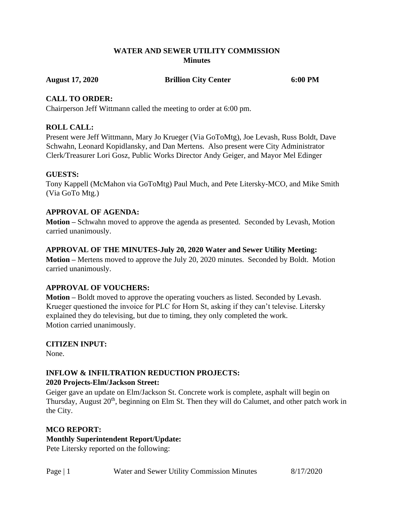#### **WATER AND SEWER UTILITY COMMISSION Minutes**

**August 17, 2020 Brillion City Center 6:00 PM**

### **CALL TO ORDER:**

Chairperson Jeff Wittmann called the meeting to order at 6:00 pm.

# **ROLL CALL:**

Present were Jeff Wittmann, Mary Jo Krueger (Via GoToMtg), Joe Levash, Russ Boldt, Dave Schwahn, Leonard Kopidlansky, and Dan Mertens. Also present were City Administrator Clerk/Treasurer Lori Gosz, Public Works Director Andy Geiger, and Mayor Mel Edinger

#### **GUESTS:**

Tony Kappell (McMahon via GoToMtg) Paul Much, and Pete Litersky-MCO, and Mike Smith (Via GoTo Mtg.)

# **APPROVAL OF AGENDA:**

**Motion –** Schwahn moved to approve the agenda as presented. Seconded by Levash, Motion carried unanimously.

#### **APPROVAL OF THE MINUTES-July 20, 2020 Water and Sewer Utility Meeting:**

**Motion –** Mertens moved to approve the July 20, 2020 minutes. Seconded by Boldt. Motion carried unanimously.

# **APPROVAL OF VOUCHERS:**

**Motion –** Boldt moved to approve the operating vouchers as listed. Seconded by Levash. Krueger questioned the invoice for PLC for Horn St, asking if they can't televise. Litersky explained they do televising, but due to timing, they only completed the work. Motion carried unanimously.

# **CITIZEN INPUT:**

None.

# **INFLOW & INFILTRATION REDUCTION PROJECTS:**

#### **2020 Projects-Elm/Jackson Street:**

Geiger gave an update on Elm/Jackson St. Concrete work is complete, asphalt will begin on Thursday, August  $20<sup>th</sup>$ , beginning on Elm St. Then they will do Calumet, and other patch work in the City.

#### **MCO REPORT:**

# **Monthly Superintendent Report/Update:**

Pete Litersky reported on the following: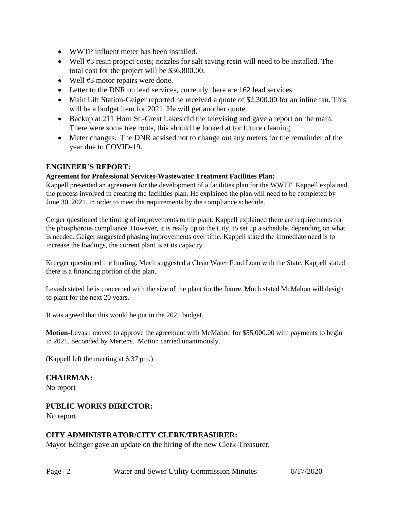- WWTP influent meter has been installed.
- Well #3 resin project costs; nozzles for salt saving resin will need to be installed. The total cost for the project will be \$36,800.00.
- Well #3 motor repairs were done.
- Letter to the DNR on lead services, currently there are 162 lead services.
- Main Lift Station-Geiger reported he received a quote of \$2,300.00 for an inline fan. This will be a budget item for 2021. He will get another quote.
- Backup at 211 Horn St.-Great Lakes did the televising and gave a report on the main. There were some tree roots, this should be looked at for future cleaning.
- Meter changes. The DNR advised not to change out any meters for the remainder of the year due to COVID-19.

# **ENGINEER'S REPORT:**

#### **Agreement for Professional Services-Wastewater Treatment Facilities Plan:**

Kappell presented an agreement for the development of a facilities plan for the WWTF. Kappell explained the process involved in creating the facilities plan. He explained the plan will need to be completed by June 30, 2021, in order to meet the requirements by the compliance schedule.

Geiger questioned the timing of improvements to the plant. Kappell explained there are requirements for the phosphorous compliance. However, it is really up to the City, to set up a schedule, depending on what is needed. Geiger suggested phasing improvements over time. Kappell stated the immediate need is to increase the loadings, the current plant is at its capacity.

Krueger questioned the funding. Much suggested a Clean Water Fund Loan with the State. Kappell stated there is a financing portion of the plan.

Levash stated he is concerned with the size of the plant for the future. Much stated McMahon will design to plant for the next 20 years.

It was agreed that this would be put in the 2021 budget.

**Motion-**Levash moved to approve the agreement with McMahon for \$55,000.00 with payments to begin in 2021. Seconded by Mertens. Motion carried unanimously.

(Kappell left the meeting at 6:37 pm.)

# **CHAIRMAN:**

No report

#### **PUBLIC WORKS DIRECTOR:**

No report

# **CITY ADMINISTRATOR/CITY CLERK/TREASURER:**

Mayor Edinger gave an update on the hiring of the new Clerk-Treasurer,